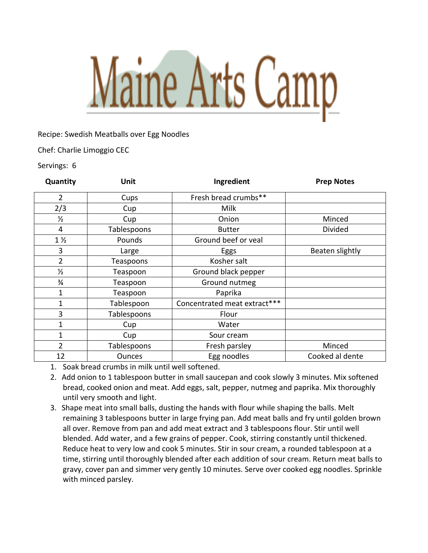## Maine Arts Camp

Recipe: Swedish Meatballs over Egg Noodles

Chef: Charlie Limoggio CEC

Servings: 6

| Quantity       | Unit          | Ingredient                   | <b>Prep Notes</b> |
|----------------|---------------|------------------------------|-------------------|
| 2              | Cups          | Fresh bread crumbs**         |                   |
| 2/3            | Cup           | Milk                         |                   |
| $\frac{1}{2}$  | Cup           | Onion                        | Minced            |
| 4              | Tablespoons   | <b>Butter</b>                | Divided           |
| $1\frac{1}{2}$ | Pounds        | Ground beef or veal          |                   |
| 3              | Large         | Eggs                         | Beaten slightly   |
| $\overline{2}$ | Teaspoons     | Kosher salt                  |                   |
| $\frac{1}{2}$  | Teaspoon      | Ground black pepper          |                   |
| $\frac{3}{4}$  | Teaspoon      | Ground nutmeg                |                   |
| $\mathbf{1}$   | Teaspoon      | Paprika                      |                   |
| $\mathbf{1}$   | Tablespoon    | Concentrated meat extract*** |                   |
| 3              | Tablespoons   | Flour                        |                   |
| 1              | Cup           | Water                        |                   |
| $\mathbf{1}$   | Cup           | Sour cream                   |                   |
| $\overline{2}$ | Tablespoons   | Fresh parsley                | Minced            |
| 12             | <b>Ounces</b> | Egg noodles                  | Cooked al dente   |

1. Soak bread crumbs in milk until well softened.

- 2. Add onion to 1 tablespoon butter in small saucepan and cook slowly 3 minutes. Mix softened bread, cooked onion and meat. Add eggs, salt, pepper, nutmeg and paprika. Mix thoroughly until very smooth and light.
- 3. Shape meat into small balls, dusting the hands with flour while shaping the balls. Melt remaining 3 tablespoons butter in large frying pan. Add meat balls and fry until golden brown all over. Remove from pan and add meat extract and 3 tablespoons flour. Stir until well blended. Add water, and a few grains of pepper. Cook, stirring constantly until thickened. Reduce heat to very low and cook 5 minutes. Stir in sour cream, a rounded tablespoon at a time, stirring until thoroughly blended after each addition of sour cream. Return meat balls to gravy, cover pan and simmer very gently 10 minutes. Serve over cooked egg noodles. Sprinkle with minced parsley.